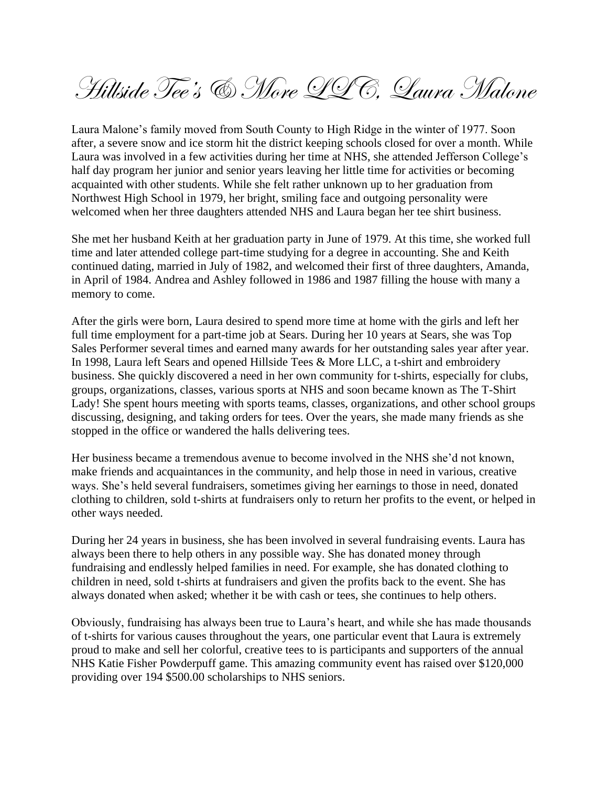Hillside Tee's & More LLC, Laura Malone

Laura Malone's family moved from South County to High Ridge in the winter of 1977. Soon after, a severe snow and ice storm hit the district keeping schools closed for over a month. While Laura was involved in a few activities during her time at NHS, she attended Jefferson College's half day program her junior and senior years leaving her little time for activities or becoming acquainted with other students. While she felt rather unknown up to her graduation from Northwest High School in 1979, her bright, smiling face and outgoing personality were welcomed when her three daughters attended NHS and Laura began her tee shirt business.

She met her husband Keith at her graduation party in June of 1979. At this time, she worked full time and later attended college part-time studying for a degree in accounting. She and Keith continued dating, married in July of 1982, and welcomed their first of three daughters, Amanda, in April of 1984. Andrea and Ashley followed in 1986 and 1987 filling the house with many a memory to come.

After the girls were born, Laura desired to spend more time at home with the girls and left her full time employment for a part-time job at Sears. During her 10 years at Sears, she was Top Sales Performer several times and earned many awards for her outstanding sales year after year. In 1998, Laura left Sears and opened Hillside Tees & More LLC, a t-shirt and embroidery business. She quickly discovered a need in her own community for t-shirts, especially for clubs, groups, organizations, classes, various sports at NHS and soon became known as The T-Shirt Lady! She spent hours meeting with sports teams, classes, organizations, and other school groups discussing, designing, and taking orders for tees. Over the years, she made many friends as she stopped in the office or wandered the halls delivering tees.

Her business became a tremendous avenue to become involved in the NHS she'd not known, make friends and acquaintances in the community, and help those in need in various, creative ways. She's held several fundraisers, sometimes giving her earnings to those in need, donated clothing to children, sold t-shirts at fundraisers only to return her profits to the event, or helped in other ways needed.

During her 24 years in business, she has been involved in several fundraising events. Laura has always been there to help others in any possible way. She has donated money through fundraising and endlessly helped families in need. For example, she has donated clothing to children in need, sold t-shirts at fundraisers and given the profits back to the event. She has always donated when asked; whether it be with cash or tees, she continues to help others.

Obviously, fundraising has always been true to Laura's heart, and while she has made thousands of t-shirts for various causes throughout the years, one particular event that Laura is extremely proud to make and sell her colorful, creative tees to is participants and supporters of the annual NHS Katie Fisher Powderpuff game. This amazing community event has raised over \$120,000 providing over 194 \$500.00 scholarships to NHS seniors.